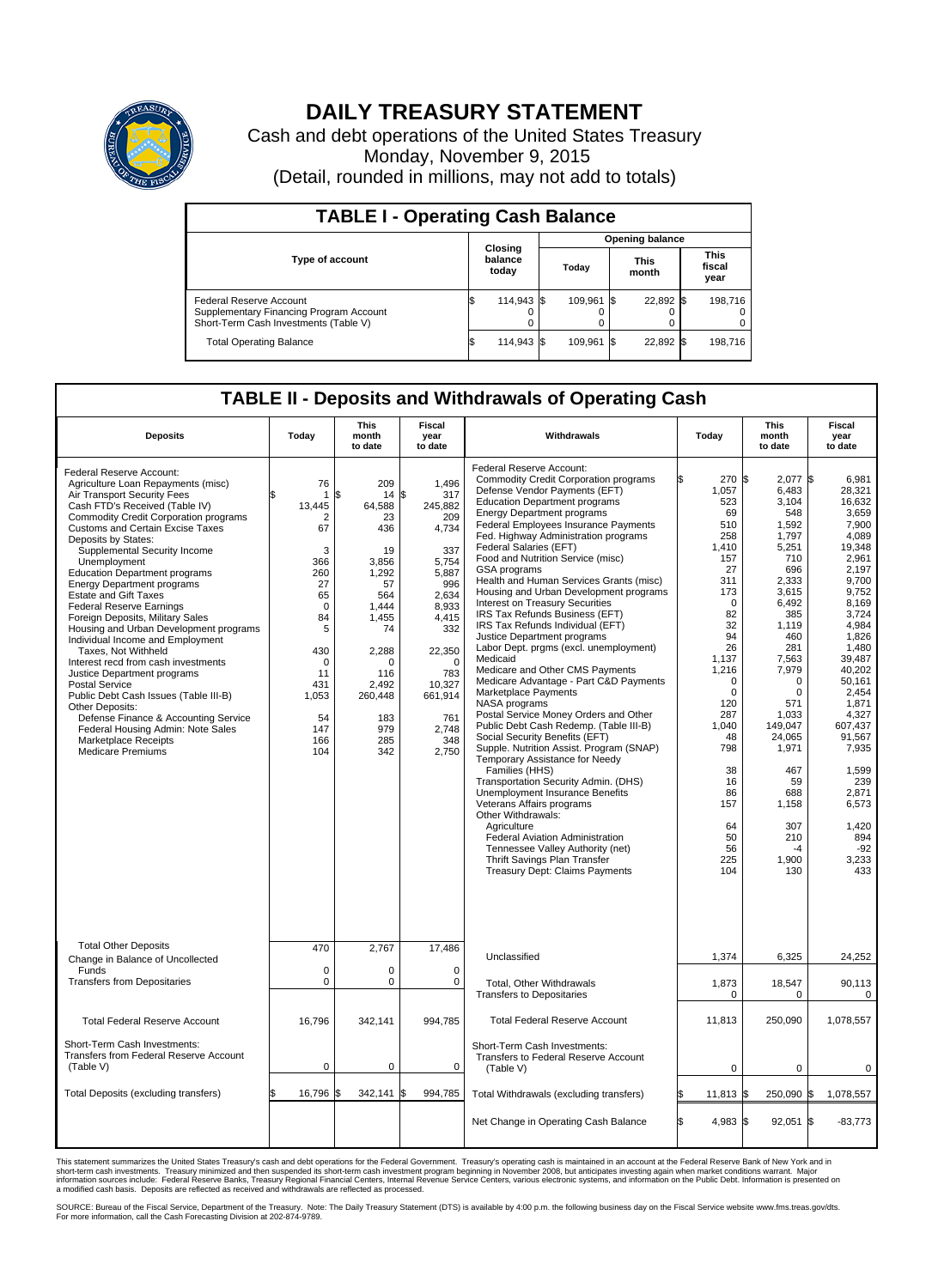

## **DAILY TREASURY STATEMENT**

Cash and debt operations of the United States Treasury Monday, November 9, 2015 (Detail, rounded in millions, may not add to totals)

| <b>TABLE I - Operating Cash Balance</b>                                                                     |  |                             |  |                        |  |                      |  |                               |  |
|-------------------------------------------------------------------------------------------------------------|--|-----------------------------|--|------------------------|--|----------------------|--|-------------------------------|--|
|                                                                                                             |  |                             |  | <b>Opening balance</b> |  |                      |  |                               |  |
| <b>Type of account</b>                                                                                      |  | Closing<br>balance<br>today |  | Today                  |  | <b>This</b><br>month |  | <b>This</b><br>fiscal<br>year |  |
| Federal Reserve Account<br>Supplementary Financing Program Account<br>Short-Term Cash Investments (Table V) |  | 114,943 \$                  |  | 109.961 \$             |  | 22,892 \$            |  | 198,716                       |  |
| <b>Total Operating Balance</b>                                                                              |  | 114,943 \$                  |  | 109.961 \$             |  | 22,892 \$            |  | 198,716                       |  |

## **TABLE II - Deposits and Withdrawals of Operating Cash**

| <b>Deposits</b>                                                                                                                                                                                                                                                                                                                                                                                                                                                                                                                                                                                                                                                                                                                                                                                                                                                                        | Today                                                                                                                                                        | <b>This</b><br>month<br>to date                                                                                                                                                 | <b>Fiscal</b><br>Withdrawals<br>year<br>to date                                                                                                                                                   |                                                                                                                                                                                                                                                                                                                                                                                                                                                                                                                                                                                                                                                                                                                                                                                                                                                                                                                                                                                                                                                                                                                                                                                                                                                                                         | Today                                                                                                                                                                                                                                                              | <b>This</b><br>month<br>to date                                                                                                                                                                                                                                                                     | Fiscal<br>year<br>to date                                                                                                                                                                                                                                                                                         |
|----------------------------------------------------------------------------------------------------------------------------------------------------------------------------------------------------------------------------------------------------------------------------------------------------------------------------------------------------------------------------------------------------------------------------------------------------------------------------------------------------------------------------------------------------------------------------------------------------------------------------------------------------------------------------------------------------------------------------------------------------------------------------------------------------------------------------------------------------------------------------------------|--------------------------------------------------------------------------------------------------------------------------------------------------------------|---------------------------------------------------------------------------------------------------------------------------------------------------------------------------------|---------------------------------------------------------------------------------------------------------------------------------------------------------------------------------------------------|-----------------------------------------------------------------------------------------------------------------------------------------------------------------------------------------------------------------------------------------------------------------------------------------------------------------------------------------------------------------------------------------------------------------------------------------------------------------------------------------------------------------------------------------------------------------------------------------------------------------------------------------------------------------------------------------------------------------------------------------------------------------------------------------------------------------------------------------------------------------------------------------------------------------------------------------------------------------------------------------------------------------------------------------------------------------------------------------------------------------------------------------------------------------------------------------------------------------------------------------------------------------------------------------|--------------------------------------------------------------------------------------------------------------------------------------------------------------------------------------------------------------------------------------------------------------------|-----------------------------------------------------------------------------------------------------------------------------------------------------------------------------------------------------------------------------------------------------------------------------------------------------|-------------------------------------------------------------------------------------------------------------------------------------------------------------------------------------------------------------------------------------------------------------------------------------------------------------------|
| Federal Reserve Account:<br>Agriculture Loan Repayments (misc)<br>Air Transport Security Fees<br>Cash FTD's Received (Table IV)<br><b>Commodity Credit Corporation programs</b><br>Customs and Certain Excise Taxes<br>Deposits by States:<br>Supplemental Security Income<br>Unemployment<br><b>Education Department programs</b><br><b>Energy Department programs</b><br><b>Estate and Gift Taxes</b><br><b>Federal Reserve Earnings</b><br>Foreign Deposits, Military Sales<br>Housing and Urban Development programs<br>Individual Income and Employment<br>Taxes, Not Withheld<br>Interest recd from cash investments<br>Justice Department programs<br><b>Postal Service</b><br>Public Debt Cash Issues (Table III-B)<br>Other Deposits:<br>Defense Finance & Accounting Service<br>Federal Housing Admin: Note Sales<br><b>Marketplace Receipts</b><br><b>Medicare Premiums</b> | 76<br>1<br>13,445<br>2<br>67<br>3<br>366<br>260<br>27<br>65<br>$\mathbf 0$<br>84<br>5<br>430<br>$\mathbf 0$<br>11<br>431<br>1,053<br>54<br>147<br>166<br>104 | 209<br>\$<br>14<br>64,588<br>23<br>436<br>19<br>3,856<br>1,292<br>57<br>564<br>1,444<br>1,455<br>74<br>2,288<br>$\Omega$<br>116<br>2,492<br>260,448<br>183<br>979<br>285<br>342 | 1,496<br>\$<br>317<br>245,882<br>209<br>4,734<br>337<br>5,754<br>5,887<br>996<br>2.634<br>8,933<br>4,415<br>332<br>22,350<br>$\Omega$<br>783<br>10,327<br>661,914<br>761<br>2,748<br>348<br>2,750 | Federal Reserve Account:<br><b>Commodity Credit Corporation programs</b><br>Defense Vendor Payments (EFT)<br><b>Education Department programs</b><br><b>Energy Department programs</b><br><b>Federal Employees Insurance Payments</b><br>Fed. Highway Administration programs<br>Federal Salaries (EFT)<br>Food and Nutrition Service (misc)<br>GSA programs<br>Health and Human Services Grants (misc)<br>Housing and Urban Development programs<br>Interest on Treasury Securities<br>IRS Tax Refunds Business (EFT)<br>IRS Tax Refunds Individual (EFT)<br>Justice Department programs<br>Labor Dept. prgms (excl. unemployment)<br>Medicaid<br>Medicare and Other CMS Payments<br>Medicare Advantage - Part C&D Payments<br>Marketplace Payments<br>NASA programs<br>Postal Service Money Orders and Other<br>Public Debt Cash Redemp. (Table III-B)<br>Social Security Benefits (EFT)<br>Supple. Nutrition Assist. Program (SNAP)<br>Temporary Assistance for Needy<br>Families (HHS)<br>Transportation Security Admin. (DHS)<br>Unemployment Insurance Benefits<br>Veterans Affairs programs<br>Other Withdrawals:<br>Agriculture<br>Federal Aviation Administration<br>Tennessee Valley Authority (net)<br>Thrift Savings Plan Transfer<br><b>Treasury Dept: Claims Payments</b> | 270 \$<br>1,057<br>523<br>69<br>510<br>258<br>1,410<br>157<br>27<br>311<br>173<br>$\mathbf 0$<br>82<br>32<br>94<br>26<br>1,137<br>1,216<br>$\mathbf 0$<br>$\mathbf 0$<br>120<br>287<br>1,040<br>48<br>798<br>38<br>16<br>86<br>157<br>64<br>50<br>56<br>225<br>104 | $2,077$ \$<br>6,483<br>3,104<br>548<br>1.592<br>1,797<br>5,251<br>710<br>696<br>2,333<br>3,615<br>6.492<br>385<br>1,119<br>460<br>281<br>7,563<br>7,979<br>$\Omega$<br>$\mathbf 0$<br>571<br>1,033<br>149,047<br>24,065<br>1,971<br>467<br>59<br>688<br>1,158<br>307<br>210<br>$-4$<br>1,900<br>130 | 6.981<br>28,321<br>16,632<br>3,659<br>7.900<br>4,089<br>19.348<br>2,961<br>2,197<br>9,700<br>9,752<br>8.169<br>3,724<br>4,984<br>1.826<br>1.480<br>39,487<br>40,202<br>50.161<br>2,454<br>1.871<br>4,327<br>607,437<br>91,567<br>7,935<br>1,599<br>239<br>2,871<br>6,573<br>1,420<br>894<br>$-92$<br>3,233<br>433 |
| <b>Total Other Deposits</b><br>Change in Balance of Uncollected                                                                                                                                                                                                                                                                                                                                                                                                                                                                                                                                                                                                                                                                                                                                                                                                                        | 470                                                                                                                                                          | 2,767                                                                                                                                                                           | 17,486                                                                                                                                                                                            | Unclassified                                                                                                                                                                                                                                                                                                                                                                                                                                                                                                                                                                                                                                                                                                                                                                                                                                                                                                                                                                                                                                                                                                                                                                                                                                                                            | 1,374                                                                                                                                                                                                                                                              | 6,325                                                                                                                                                                                                                                                                                               | 24,252                                                                                                                                                                                                                                                                                                            |
| Funds<br><b>Transfers from Depositaries</b>                                                                                                                                                                                                                                                                                                                                                                                                                                                                                                                                                                                                                                                                                                                                                                                                                                            | $\mathbf 0$<br>$\pmb{0}$                                                                                                                                     | 0<br>0                                                                                                                                                                          | $\mathbf 0$<br>$\mathbf 0$                                                                                                                                                                        | Total, Other Withdrawals<br><b>Transfers to Depositaries</b>                                                                                                                                                                                                                                                                                                                                                                                                                                                                                                                                                                                                                                                                                                                                                                                                                                                                                                                                                                                                                                                                                                                                                                                                                            | 1,873<br>0                                                                                                                                                                                                                                                         | 18,547<br>$\Omega$                                                                                                                                                                                                                                                                                  | 90,113<br>0                                                                                                                                                                                                                                                                                                       |
| <b>Total Federal Reserve Account</b>                                                                                                                                                                                                                                                                                                                                                                                                                                                                                                                                                                                                                                                                                                                                                                                                                                                   | 16,796                                                                                                                                                       | 342,141                                                                                                                                                                         | 994,785                                                                                                                                                                                           | <b>Total Federal Reserve Account</b>                                                                                                                                                                                                                                                                                                                                                                                                                                                                                                                                                                                                                                                                                                                                                                                                                                                                                                                                                                                                                                                                                                                                                                                                                                                    | 11,813                                                                                                                                                                                                                                                             | 250.090                                                                                                                                                                                                                                                                                             | 1.078.557                                                                                                                                                                                                                                                                                                         |
| Short-Term Cash Investments:<br>Transfers from Federal Reserve Account<br>(Table V)                                                                                                                                                                                                                                                                                                                                                                                                                                                                                                                                                                                                                                                                                                                                                                                                    | $\pmb{0}$                                                                                                                                                    | 0                                                                                                                                                                               | 0                                                                                                                                                                                                 | Short-Term Cash Investments:<br>Transfers to Federal Reserve Account<br>(Table V)                                                                                                                                                                                                                                                                                                                                                                                                                                                                                                                                                                                                                                                                                                                                                                                                                                                                                                                                                                                                                                                                                                                                                                                                       | 0                                                                                                                                                                                                                                                                  | $\mathbf 0$                                                                                                                                                                                                                                                                                         | 0                                                                                                                                                                                                                                                                                                                 |
| Total Deposits (excluding transfers)                                                                                                                                                                                                                                                                                                                                                                                                                                                                                                                                                                                                                                                                                                                                                                                                                                                   | 16,796                                                                                                                                                       | 342,141<br>\$                                                                                                                                                                   | \$<br>994,785                                                                                                                                                                                     | Total Withdrawals (excluding transfers)                                                                                                                                                                                                                                                                                                                                                                                                                                                                                                                                                                                                                                                                                                                                                                                                                                                                                                                                                                                                                                                                                                                                                                                                                                                 | $11,813$ \$                                                                                                                                                                                                                                                        | 250,090 \$                                                                                                                                                                                                                                                                                          | 1,078,557                                                                                                                                                                                                                                                                                                         |
|                                                                                                                                                                                                                                                                                                                                                                                                                                                                                                                                                                                                                                                                                                                                                                                                                                                                                        |                                                                                                                                                              |                                                                                                                                                                                 |                                                                                                                                                                                                   | Net Change in Operating Cash Balance                                                                                                                                                                                                                                                                                                                                                                                                                                                                                                                                                                                                                                                                                                                                                                                                                                                                                                                                                                                                                                                                                                                                                                                                                                                    | l\$<br>4,983 \$                                                                                                                                                                                                                                                    | 92,051                                                                                                                                                                                                                                                                                              | 1\$<br>$-83,773$                                                                                                                                                                                                                                                                                                  |

This statement summarizes the United States Treasury's cash and debt operations for the Federal Government. Treasury's operating cash is maintained in an account at the Federal Reserve Bank of New York and in<br>short-term ca

SOURCE: Bureau of the Fiscal Service, Department of the Treasury. Note: The Daily Treasury Statement (DTS) is available by 4:00 p.m. the following business day on the Fiscal Service website www.fms.treas.gov/dts.<br>For more